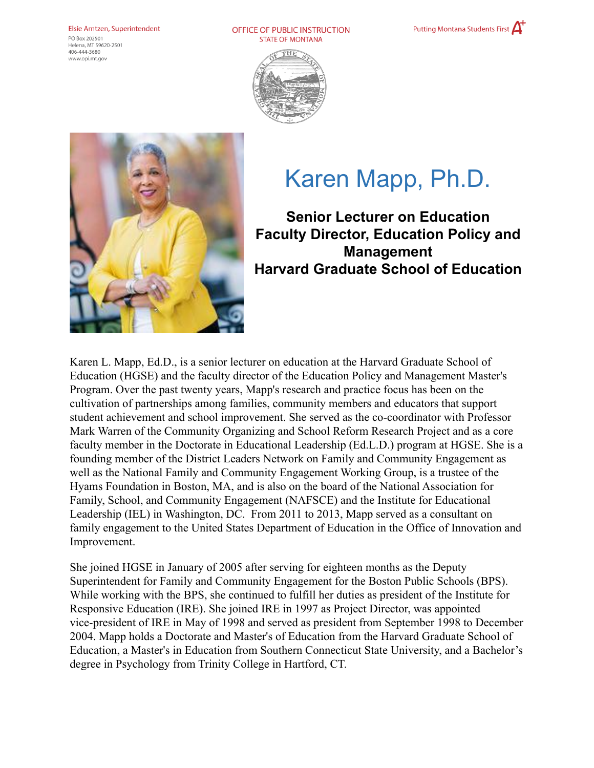## Elsie Arntzen, Superintendent

PO Box 202501 Helena, MT 59620-2501  $406 - 444 - 3680$ www.opi.mt.gov

OFFICE OF PUBLIC INSTRUCTION **STATE OF MONTANA** 







## Karen Mapp, Ph.D.

**Senior Lecturer on Education Faculty Director, Education Policy and Management Harvard Graduate School of Education**

Karen L. Mapp, Ed.D., is a senior lecturer on education at the Harvard Graduate School of Education (HGSE) and the faculty director of the Education Policy and Management Master's Program. Over the past twenty years, Mapp's research and practice focus has been on the cultivation of partnerships among families, community members and educators that support student achievement and school improvement. She served as the co-coordinator with Professor Mark Warren of the Community Organizing and School Reform Research Project and as a core faculty member in the Doctorate in Educational Leadership (Ed.L.D.) program at HGSE. She is a founding member of the District Leaders Network on Family and Community Engagement as well as the National Family and Community Engagement Working Group, is a trustee of the Hyams Foundation in Boston, MA, and is also on the board of the National Association for Family, School, and Community Engagement (NAFSCE) and the Institute for Educational Leadership (IEL) in Washington, DC. From 2011 to 2013, Mapp served as a consultant on family engagement to the United States Department of Education in the Office of Innovation and Improvement.

She joined HGSE in January of 2005 after serving for eighteen months as the Deputy Superintendent for Family and Community Engagement for the Boston Public Schools (BPS). While working with the BPS, she continued to fulfill her duties as president of the Institute for Responsive Education (IRE). She joined IRE in 1997 as Project Director, was appointed vice-president of IRE in May of 1998 and served as president from September 1998 to December 2004. Mapp holds a Doctorate and Master's of Education from the Harvard Graduate School of Education, a Master's in Education from Southern Connecticut State University, and a Bachelor's degree in Psychology from Trinity College in Hartford, CT.